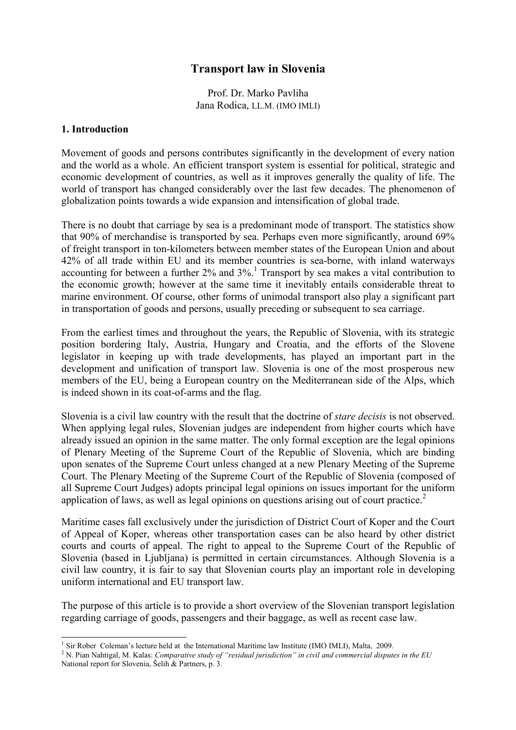# **Transport law in Slovenia**

Prof. Dr. Marko Pavliha Jana Rodica, LL.M. (IMO IMLI)

#### **1. Introduction**

Movement of goods and persons contributes significantly in the development of every nation and the world as a whole. An efficient transport system is essential for political, strategic and economic development of countries, as well as it improves generally the quality of life. The world of transport has changed considerably over the last few decades. The phenomenon of globalization points towards a wide expansion and intensification of global trade.

There is no doubt that carriage by sea is a predominant mode of transport. The statistics show that 90% of merchandise is transported by sea. Perhaps even more significantly, around 69% of freight transport in ton-kilometers between member states of the European Union and about 42% of all trade within EU and its member countries is sea-borne, with inland waterways accounting for between a further  $2\%$  and  $3\%$ .<sup>1</sup> Transport by sea makes a vital contribution to the economic growth; however at the same time it inevitably entails considerable threat to marine environment. Of course, other forms of unimodal transport also play a significant part in transportation of goods and persons, usually preceding or subsequent to sea carriage.

From the earliest times and throughout the years, the Republic of Slovenia, with its strategic position bordering Italy, Austria, Hungary and Croatia, and the efforts of the Slovene legislator in keeping up with trade developments, has played an important part in the development and unification of transport law. Slovenia is one of the most prosperous new members of the EU, being a European country on the Mediterranean side of the Alps, which is indeed shown in its coat-of-arms and the flag.

Slovenia is a civil law country with the result that the doctrine of *stare decisis* is not observed. When applying legal rules, Slovenian judges are independent from higher courts which have already issued an opinion in the same matter. The only formal exception are the legal opinions of Plenary Meeting of the Supreme Court of the Republic of Slovenia, which are binding upon senates of the Supreme Court unless changed at a new Plenary Meeting of the Supreme Court. The Plenary Meeting of the Supreme Court of the Republic of Slovenia (composed of all Supreme Court Judges) adopts principal legal opinions on issues important for the uniform application of laws, as well as legal opinions on questions arising out of court practice.<sup>2</sup>

Maritime cases fall exclusively under the jurisdiction of District Court of Koper and the Court of Appeal of Koper, whereas other transportation cases can be also heard by other district courts and courts of appeal. The right to appeal to the Supreme Court of the Republic of Slovenia (based in Ljubljana) is permitted in certain circumstances. Although Slovenia is a civil law country, it is fair to say that Slovenian courts play an important role in developing uniform international and EU transport law.

The purpose of this article is to provide a short overview of the Slovenian transport legislation regarding carriage of goods, passengers and their baggage, as well as recent case law.

 1 Sir Rober Coleman's lecture held at the International Maritime law Institute (IMO IMLI), Malta, 2009.

<sup>2</sup> N. Pian Nahtigal, M. Kalas: *Comparative study of "residual jurisdiction" in civil and commercial disputes in the EU* National report for Slovenia, Šelih & Partners, p. 3.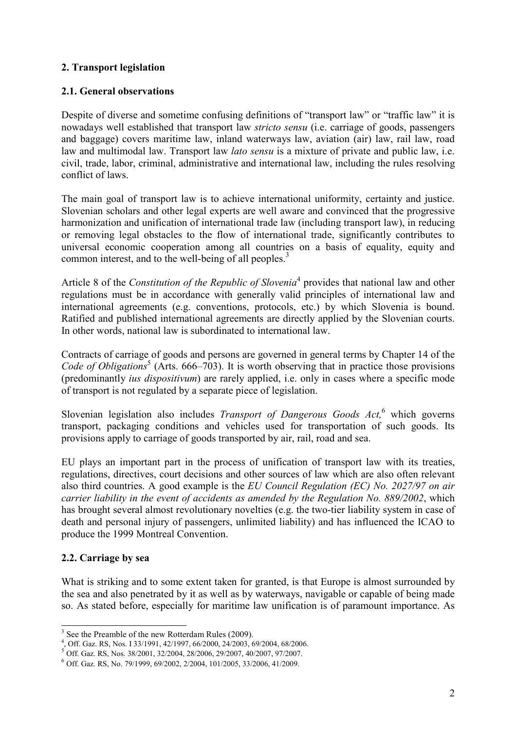## **2. Transport legislation**

### **2.1. General observations**

Despite of diverse and sometime confusing definitions of "transport law" or "traffic law" it is nowadays well established that transport law *stricto sensu* (i.e. carriage of goods, passengers and baggage) covers maritime law, inland waterways law, aviation (air) law, rail law, road law and multimodal law. Transport law *lato sensu* is a mixture of private and public law, i.e. civil, trade, labor, criminal, administrative and international law, including the rules resolving conflict of laws.

The main goal of transport law is to achieve international uniformity, certainty and justice. Slovenian scholars and other legal experts are well aware and convinced that the progressive harmonization and unification of international trade law (including transport law), in reducing or removing legal obstacles to the flow of international trade, significantly contributes to universal economic cooperation among all countries on a basis of equality, equity and common interest, and to the well-being of all peoples.<sup>3</sup>

Article 8 of the *Constitution of the Republic of Slovenia*<sup>4</sup> provides that national law and other regulations must be in accordance with generally valid principles of international law and international agreements (e.g. conventions, protocols, etc.) by which Slovenia is bound. Ratified and published international agreements are directly applied by the Slovenian courts. In other words, national law is subordinated to international law.

Contracts of carriage of goods and persons are governed in general terms by Chapter 14 of the Code of Obligations<sup>5</sup> (Arts. 666–703). It is worth observing that in practice those provisions (predominantly *ius dispositivum*) are rarely applied, i.e. only in cases where a specific mode of transport is not regulated by a separate piece of legislation.

Slovenian legislation also includes *Transport of Dangerous Goods Act*,<sup>6</sup> which governs transport, packaging conditions and vehicles used for transportation of such goods. Its provisions apply to carriage of goods transported by air, rail, road and sea.

EU plays an important part in the process of unification of transport law with its treaties, regulations, directives, court decisions and other sources of law which are also often relevant also third countries. A good example is the *EU Council Regulation (EC) No. 2027/97 on air carrier liability in the event of accidents as amended by the Regulation No. 889/2002*, which has brought several almost revolutionary novelties (e.g. the two-tier liability system in case of death and personal injury of passengers, unlimited liability) and has influenced the ICAO to produce the 1999 Montreal Convention.

## **2.2. Carriage by sea**

What is striking and to some extent taken for granted, is that Europe is almost surrounded by the sea and also penetrated by it as well as by waterways, navigable or capable of being made so. As stated before, especially for maritime law unification is of paramount importance. As

<sup>&</sup>lt;sup>3</sup> See the Preamble of the new Rotterdam Rules (2009).

<sup>4</sup> , Off. Gaz. RS, Nos. I 33/1991, 42/1997, 66/2000, 24/2003, 69/2004, 68/2006.

<sup>5</sup> Off. Gaz. RS, Nos. 38/2001, 32/2004, 28/2006, 29/2007, 40/2007, 97/2007.

<sup>6</sup> Off. Gaz. RS, No. 79/1999, 69/2002, 2/2004, 101/2005, 33/2006, 41/2009.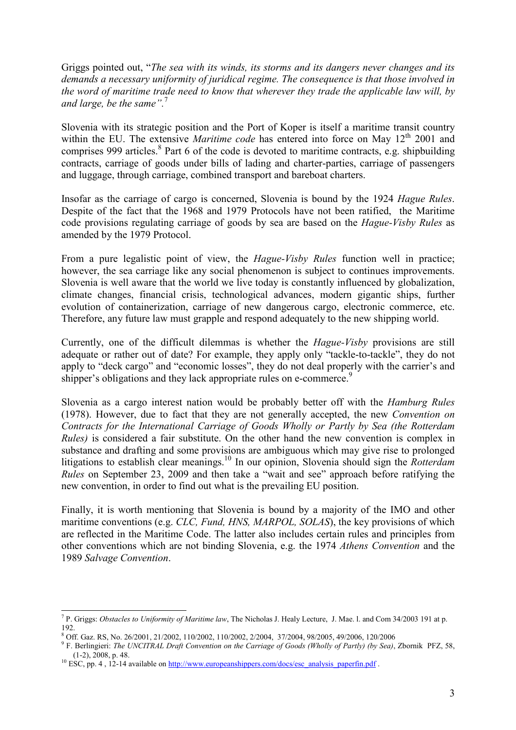Griggs pointed out, "*The sea with its winds, its storms and its dangers never changes and its demands a necessary uniformity of juridical regime. The consequence is that those involved in the word of maritime trade need to know that wherever they trade the applicable law will, by and large, be the same".*<sup>7</sup>

Slovenia with its strategic position and the Port of Koper is itself a maritime transit country within the EU. The extensive *Maritime code* has entered into force on May 12<sup>th</sup> 2001 and comprises 999 articles.<sup>8</sup> Part 6 of the code is devoted to maritime contracts, e.g. shipbuilding contracts, carriage of goods under bills of lading and charter-parties, carriage of passengers and luggage, through carriage, combined transport and bareboat charters.

Insofar as the carriage of cargo is concerned, Slovenia is bound by the 1924 *Hague Rules*. Despite of the fact that the 1968 and 1979 Protocols have not been ratified, the Maritime code provisions regulating carriage of goods by sea are based on the *Hague-Visby Rules* as amended by the 1979 Protocol.

From a pure legalistic point of view, the *Hague-Visby Rules* function well in practice; however, the sea carriage like any social phenomenon is subject to continues improvements. Slovenia is well aware that the world we live today is constantly influenced by globalization, climate changes, financial crisis, technological advances, modern gigantic ships, further evolution of containerization, carriage of new dangerous cargo, electronic commerce, etc. Therefore, any future law must grapple and respond adequately to the new shipping world.

Currently, one of the difficult dilemmas is whether the *Hague-Visby* provisions are still adequate or rather out of date? For example, they apply only "tackle-to-tackle", they do not apply to "deck cargo" and "economic losses", they do not deal properly with the carrier's and shipper's obligations and they lack appropriate rules on e-commerce.<sup>9</sup>

Slovenia as a cargo interest nation would be probably better off with the *Hamburg Rules* (1978). However, due to fact that they are not generally accepted, the new *Convention on Contracts for the International Carriage of Goods Wholly or Partly by Sea (the Rotterdam Rules)* is considered a fair substitute. On the other hand the new convention is complex in substance and drafting and some provisions are ambiguous which may give rise to prolonged litigations to establish clear meanings.<sup>10</sup> In our opinion, Slovenia should sign the *Rotterdam Rules* on September 23, 2009 and then take a "wait and see" approach before ratifying the new convention, in order to find out what is the prevailing EU position.

Finally, it is worth mentioning that Slovenia is bound by a majority of the IMO and other maritime conventions (e.g. *CLC, Fund, HNS, MARPOL, SOLAS*), the key provisions of which are reflected in the Maritime Code. The latter also includes certain rules and principles from other conventions which are not binding Slovenia, e.g. the 1974 *Athens Convention* and the 1989 *Salvage Convention*.

 7 P. Griggs: *Obstacles to Uniformity of Maritime law*, The Nicholas J. Healy Lecture, J. Mae. l. and Com 34/2003 191 at p. 192.

<sup>8</sup> Off. Gaz. RS, No. 26/2001, 21/2002, 110/2002, 110/2002, 2/2004, 37/2004, 98/2005, 49/2006, 120/2006

<sup>9</sup> F. Berlingieri: *The UNCITRAL Draft Convention on the Carriage of Goods (Wholly of Partly) (by Sea)*, Zbornik PFZ, 58, (1-2), 2008, p. 48.

 $^{10}$  ESC, pp. 4, 12-14 available on http://www.europeanshippers.com/docs/esc\_analysis\_paperfin.pdf .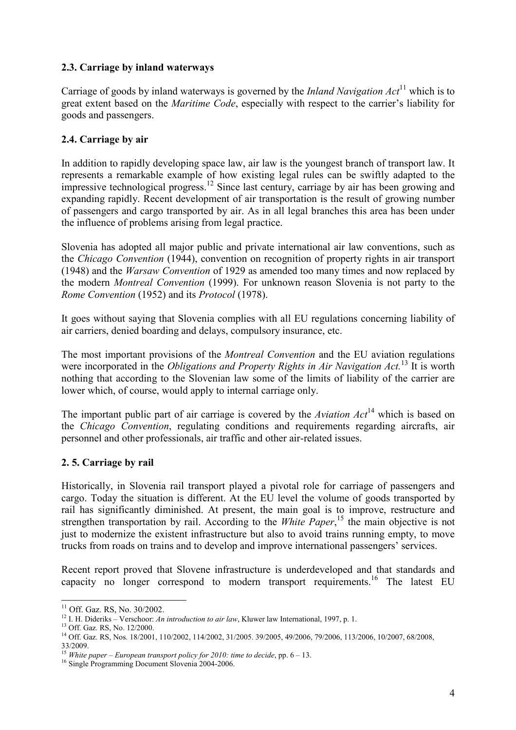## **2.3. Carriage by inland waterways**

Carriage of goods by inland waterways is governed by the *Inland Navigation Act*<sup>11</sup> which is to great extent based on the *Maritime Code*, especially with respect to the carrier's liability for goods and passengers.

## **2.4. Carriage by air**

In addition to rapidly developing space law, air law is the youngest branch of transport law. It represents a remarkable example of how existing legal rules can be swiftly adapted to the impressive technological progress.<sup>12</sup> Since last century, carriage by air has been growing and expanding rapidly. Recent development of air transportation is the result of growing number of passengers and cargo transported by air. As in all legal branches this area has been under the influence of problems arising from legal practice.

Slovenia has adopted all major public and private international air law conventions, such as the *Chicago Convention* (1944), convention on recognition of property rights in air transport (1948) and the *Warsaw Convention* of 1929 as amended too many times and now replaced by the modern *Montreal Convention* (1999). For unknown reason Slovenia is not party to the *Rome Convention* (1952) and its *Protocol* (1978).

It goes without saying that Slovenia complies with all EU regulations concerning liability of air carriers, denied boarding and delays, compulsory insurance, etc.

The most important provisions of the *Montreal Convention* and the EU aviation regulations were incorporated in the *Obligations and Property Rights in Air Navigation Act.*<sup>13</sup> It is worth nothing that according to the Slovenian law some of the limits of liability of the carrier are lower which, of course, would apply to internal carriage only.

The important public part of air carriage is covered by the *Aviation Act*<sup>14</sup> which is based on the *Chicago Convention*, regulating conditions and requirements regarding aircrafts, air personnel and other professionals, air traffic and other air-related issues.

## **2. 5. Carriage by rail**

Historically, in Slovenia rail transport played a pivotal role for carriage of passengers and cargo. Today the situation is different. At the EU level the volume of goods transported by rail has significantly diminished. At present, the main goal is to improve, restructure and strengthen transportation by rail. According to the *White Paper*<sup>15</sup>, the main objective is not just to modernize the existent infrastructure but also to avoid trains running empty, to move trucks from roads on trains and to develop and improve international passengers' services.

Recent report proved that Slovene infrastructure is underdeveloped and that standards and capacity no longer correspond to modern transport requirements.<sup>16</sup> The latest EU

<sup>13</sup> Off. Gaz. RS, No. 12/2000.

l <sup>11</sup> Off. Gaz. RS, No. 30/2002.

<sup>&</sup>lt;sup>12</sup> I. H. Dideriks – Verschoor: *An introduction to air law*, Kluwer law International, 1997, p. 1.

<sup>14</sup> Off. Gaz. RS, Nos. 18/2001, 110/2002, 114/2002, 31/2005. 39/2005, 49/2006, 79/2006, 113/2006, 10/2007, 68/2008, 33/2009.

<sup>15</sup> *White paper – European transport policy for 2010: time to decide*, pp. 6 – 13.

<sup>&</sup>lt;sup>16</sup> Single Programming Document Slovenia 2004-2006.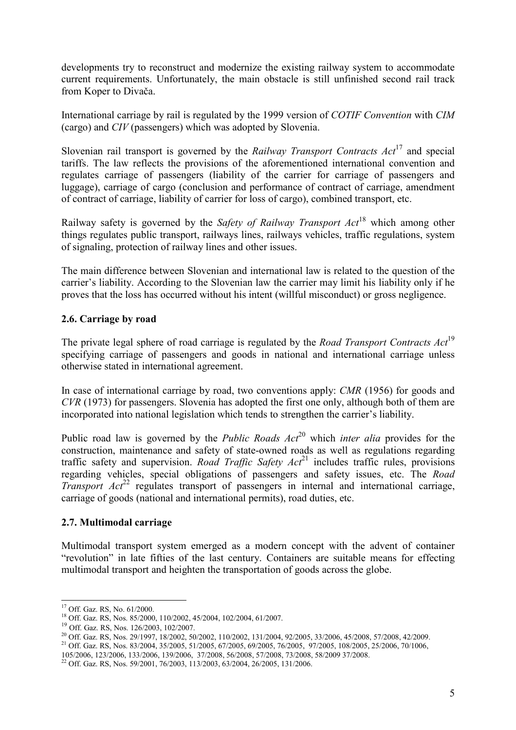developments try to reconstruct and modernize the existing railway system to accommodate current requirements. Unfortunately, the main obstacle is still unfinished second rail track from Koper to Divača.

International carriage by rail is regulated by the 1999 version of *COTIF Convention* with *CIM*  (cargo) and *CIV* (passengers) which was adopted by Slovenia.

Slovenian rail transport is governed by the *Railway Transport Contracts Act*<sup>17</sup> and special tariffs. The law reflects the provisions of the aforementioned international convention and regulates carriage of passengers (liability of the carrier for carriage of passengers and luggage), carriage of cargo (conclusion and performance of contract of carriage, amendment of contract of carriage, liability of carrier for loss of cargo), combined transport, etc.

Railway safety is governed by the *Safety of Railway Transport Act*<sup>18</sup> which among other things regulates public transport, railways lines, railways vehicles, traffic regulations, system of signaling, protection of railway lines and other issues.

The main difference between Slovenian and international law is related to the question of the carrier's liability. According to the Slovenian law the carrier may limit his liability only if he proves that the loss has occurred without his intent (willful misconduct) or gross negligence.

### **2.6. Carriage by road**

The private legal sphere of road carriage is regulated by the *Road Transport Contracts Act*<sup>19</sup> specifying carriage of passengers and goods in national and international carriage unless otherwise stated in international agreement.

In case of international carriage by road, two conventions apply: *CMR* (1956) for goods and *CVR* (1973) for passengers. Slovenia has adopted the first one only, although both of them are incorporated into national legislation which tends to strengthen the carrier's liability.

Public road law is governed by the *Public Roads Act*<sup>20</sup> which *inter alia* provides for the construction, maintenance and safety of state-owned roads as well as regulations regarding traffic safety and supervision. *Road Traffic Safety Act*<sup>21</sup> includes traffic rules, provisions regarding vehicles, special obligations of passengers and safety issues, etc. The *Road Transport Act*<sup>22</sup> regulates transport of passengers in internal and international carriage, carriage of goods (national and international permits), road duties, etc.

### **2.7. Multimodal carriage**

Multimodal transport system emerged as a modern concept with the advent of container "revolution" in late fifties of the last century. Containers are suitable means for effecting multimodal transport and heighten the transportation of goods across the globe.

l

<sup>17</sup> Off. Gaz. RS, No. 61/2000.

<sup>18</sup> Off. Gaz. RS, Nos. 85/2000, 110/2002, 45/2004, 102/2004, 61/2007.

<sup>19</sup> Off. Gaz. RS, Nos. 126/2003, 102/2007.

<sup>20</sup> Off. Gaz. RS, Nos. 29/1997, 18/2002, 50/2002, 110/2002, 131/2004, 92/2005, 33/2006, 45/2008, 57/2008, 42/2009.

<sup>21</sup> Off. Gaz. RS, Nos. 83/2004, 35/2005, 51/2005, 67/2005, 69/2005, 76/2005, 97/2005, 108/2005, 25/2006, 70/1006,

<sup>105/2006, 123/2006, 133/2006, 139/2006, 37/2008, 56/2008, 57/2008, 73/2008, 58/2009 37/2008.</sup> 

<sup>&</sup>lt;sup>22</sup> Off. Gaz. RS, Nos. 59/2001, 76/2003, 113/2003, 63/2004, 26/2005, 131/2006.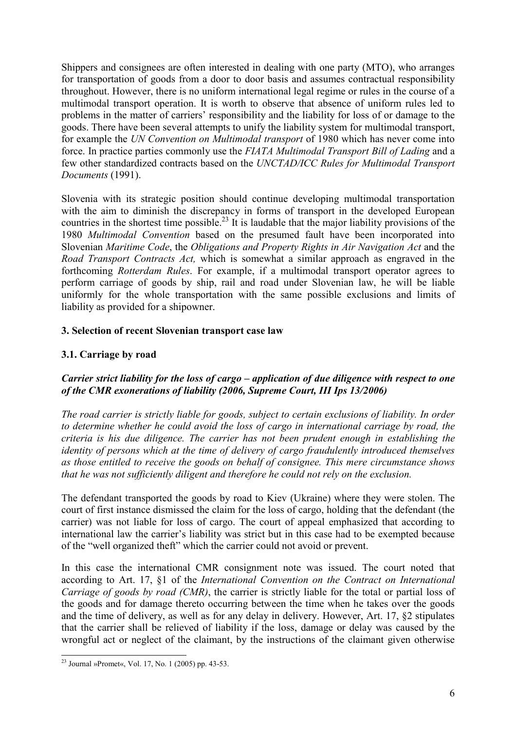Shippers and consignees are often interested in dealing with one party (MTO), who arranges for transportation of goods from a door to door basis and assumes contractual responsibility throughout. However, there is no uniform international legal regime or rules in the course of a multimodal transport operation. It is worth to observe that absence of uniform rules led to problems in the matter of carriers' responsibility and the liability for loss of or damage to the goods. There have been several attempts to unify the liability system for multimodal transport, for example the *UN Convention on Multimodal transport* of 1980 which has never come into force. In practice parties commonly use the *FIATA Multimodal Transport Bill of Lading* and a few other standardized contracts based on the *UNCTAD/ICC Rules for Multimodal Transport Documents* (1991).

Slovenia with its strategic position should continue developing multimodal transportation with the aim to diminish the discrepancy in forms of transport in the developed European countries in the shortest time possible.<sup>23</sup> It is laudable that the major liability provisions of the 1980 *Multimodal Convention* based on the presumed fault have been incorporated into Slovenian *Maritime Code*, the *Obligations and Property Rights in Air Navigation Act* and the *Road Transport Contracts Act,* which is somewhat a similar approach as engraved in the forthcoming *Rotterdam Rules*. For example, if a multimodal transport operator agrees to perform carriage of goods by ship, rail and road under Slovenian law, he will be liable uniformly for the whole transportation with the same possible exclusions and limits of liability as provided for a shipowner.

### **3. Selection of recent Slovenian transport case law**

### **3.1. Carriage by road**

### *Carrier strict liability for the loss of cargo – application of due diligence with respect to one of the CMR exonerations of liability (2006, Supreme Court, III Ips 13/2006)*

*The road carrier is strictly liable for goods, subject to certain exclusions of liability. In order to determine whether he could avoid the loss of cargo in international carriage by road, the criteria is his due diligence. The carrier has not been prudent enough in establishing the identity of persons which at the time of delivery of cargo fraudulently introduced themselves as those entitled to receive the goods on behalf of consignee. This mere circumstance shows that he was not sufficiently diligent and therefore he could not rely on the exclusion.*

The defendant transported the goods by road to Kiev (Ukraine) where they were stolen. The court of first instance dismissed the claim for the loss of cargo, holding that the defendant (the carrier) was not liable for loss of cargo. The court of appeal emphasized that according to international law the carrier's liability was strict but in this case had to be exempted because of the "well organized theft" which the carrier could not avoid or prevent.

In this case the international CMR consignment note was issued. The court noted that according to Art. 17, §1 of the *International Convention on the Contract on International Carriage of goods by road (CMR)*, the carrier is strictly liable for the total or partial loss of the goods and for damage thereto occurring between the time when he takes over the goods and the time of delivery, as well as for any delay in delivery. However, Art. 17, §2 stipulates that the carrier shall be relieved of liability if the loss, damage or delay was caused by the wrongful act or neglect of the claimant, by the instructions of the claimant given otherwise

j <sup>23</sup> Journal »Promet«, Vol. 17, No. 1 (2005) pp. 43-53.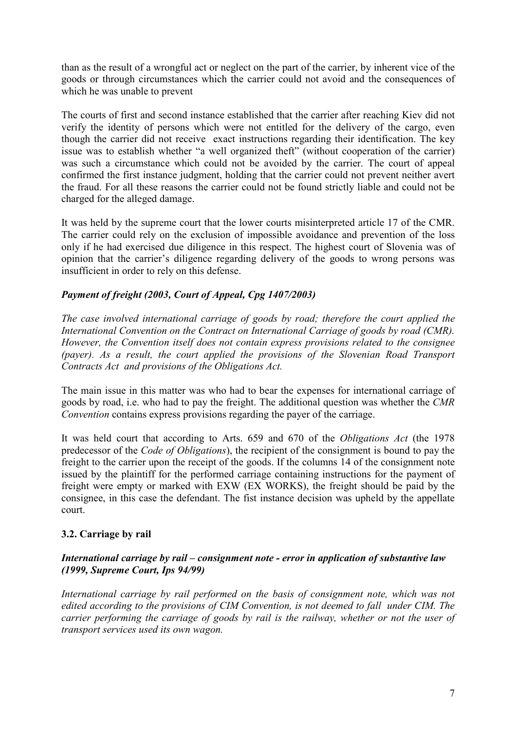than as the result of a wrongful act or neglect on the part of the carrier, by inherent vice of the goods or through circumstances which the carrier could not avoid and the consequences of which he was unable to prevent

The courts of first and second instance established that the carrier after reaching Kiev did not verify the identity of persons which were not entitled for the delivery of the cargo, even though the carrier did not receive exact instructions regarding their identification. The key issue was to establish whether "a well organized theft" (without cooperation of the carrier) was such a circumstance which could not be avoided by the carrier. The court of appeal confirmed the first instance judgment, holding that the carrier could not prevent neither avert the fraud. For all these reasons the carrier could not be found strictly liable and could not be charged for the alleged damage.

It was held by the supreme court that the lower courts misinterpreted article 17 of the CMR. The carrier could rely on the exclusion of impossible avoidance and prevention of the loss only if he had exercised due diligence in this respect. The highest court of Slovenia was of opinion that the carrier's diligence regarding delivery of the goods to wrong persons was insufficient in order to rely on this defense.

## *Payment of freight (2003, Court of Appeal, Cpg 1407/2003)*

*The case involved international carriage of goods by road; therefore the court applied the International Convention on the Contract on International Carriage of goods by road (CMR). However, the Convention itself does not contain express provisions related to the consignee (payer). As a result, the court applied the provisions of the Slovenian Road Transport Contracts Act and provisions of the Obligations Act.*

The main issue in this matter was who had to bear the expenses for international carriage of goods by road, i.e. who had to pay the freight. The additional question was whether the *CMR Convention* contains express provisions regarding the payer of the carriage.

It was held court that according to Arts. 659 and 670 of the *Obligations Act* (the 1978 predecessor of the *Code of Obligations*), the recipient of the consignment is bound to pay the freight to the carrier upon the receipt of the goods. If the columns 14 of the consignment note issued by the plaintiff for the performed carriage containing instructions for the payment of freight were empty or marked with EXW (EX WORKS), the freight should be paid by the consignee, in this case the defendant. The fist instance decision was upheld by the appellate court.

### **3.2. Carriage by rail**

### *International carriage by rail – consignment note - error in application of substantive law (1999, Supreme Court, Ips 94/99)*

*International carriage by rail performed on the basis of consignment note, which was not edited according to the provisions of CIM Convention, is not deemed to fall under CIM. The carrier performing the carriage of goods by rail is the railway, whether or not the user of transport services used its own wagon.*